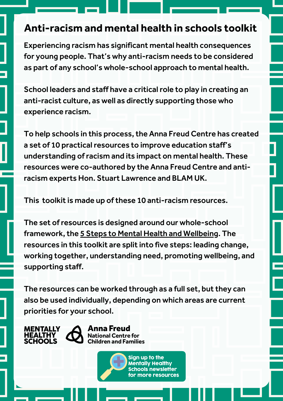# **Anti-racism and mental health in schools toolkit**

Experiencing racism has significant mental health consequences for young people. That's why anti-racism needs to be considered as part of any school's whole-school approach to mental health.

School leaders and staff have a critical role to play in creating an anti-racist culture, as well as directly supporting those who experience racism.

To help schools in this process, the Anna Freud Centre has created a set of 10 practical resources to improve education staff's understanding ofracism and its impact on mental health. These resources were co-authored by the Anna Freud Centre and antiracism experts Hon. Stuart Lawrence and BLAM UK.

This toolkit is made up of these 10 anti-racism resources.

The set ofresources is designed around our whole-school framework, the 5 Steps to Mental Health and [Wellbeing](https://www.annafreud.org/schools-and-colleges/5-steps-to-mental-health-and-wellbeing/). The resources in this toolkit are split into five steps: leading change, working together, understanding need, promoting wellbeing, and supporting staff.

The resources can be worked through as a full set, but they can also be used individually, depending on which areas are current priorities for your school.

**MENTALLY HEALTHY SCHOOLS** 

Anna Freud **National Centre for Children and Families** 

> Sign up to the **Mentally Healthy Schools newsletter** for more resources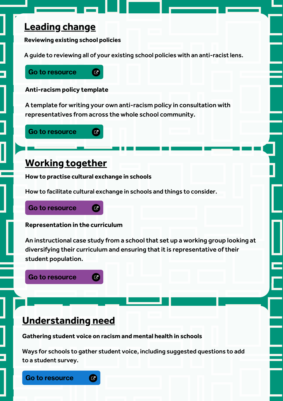## **Leading change**

**Reviewing existing school policies**

A guide to reviewing all of your existing school policies with an [anti-racist](https://www.bbc.co.uk/teach/teacher-resources-for-students-transitioning-to-secondary-school/zb68y9q) lens.

### Go to [resource](https://www.annafreud.org/schools-and-colleges/resources/reviewing-existing-school-policies-with-an-anti-racist-lens/)

#### **Anti-racism policy template**

A template for writing your own anti-racism policy in consultation with representatives from across the whole school community.

## Go to [resource](https://www.annafreud.org/schools-and-colleges/resources/anti-racism-policy-template)

## **Working together**

**How to practise cultural exchange in schools**

 $\bullet$ 

 $\bullet$ 

How to facilitate cultural exchange in schools and things to consider.

#### Go to [resource](https://www.annafreud.org/schools-and-colleges/resources/how-to-practise-cultural-exchange-in-schools/)  $\bullet$

#### **Representation in the curriculum**

An instructional case study from a school that set up a working group looking at diversifying their curriculum and ensuring that it is representative of their student population.

Go to [resource](https://www.annafreud.org/schools-and-colleges/resources/diversifying-the-curriculum-to-increase-representation/)  $\overline{G}$ 

## **Understanding need**

**Gathering student voice on racism and mental health in schools**

 $\boldsymbol{\varpi}$ 

Ways for schools to gather student voice, including suggested questions to add to a student survey.

Go to [resource](https://www.annafreud.org/schools-and-colleges/resources/gathering-student-voice-on-racism-and-mental-health-in-schools)